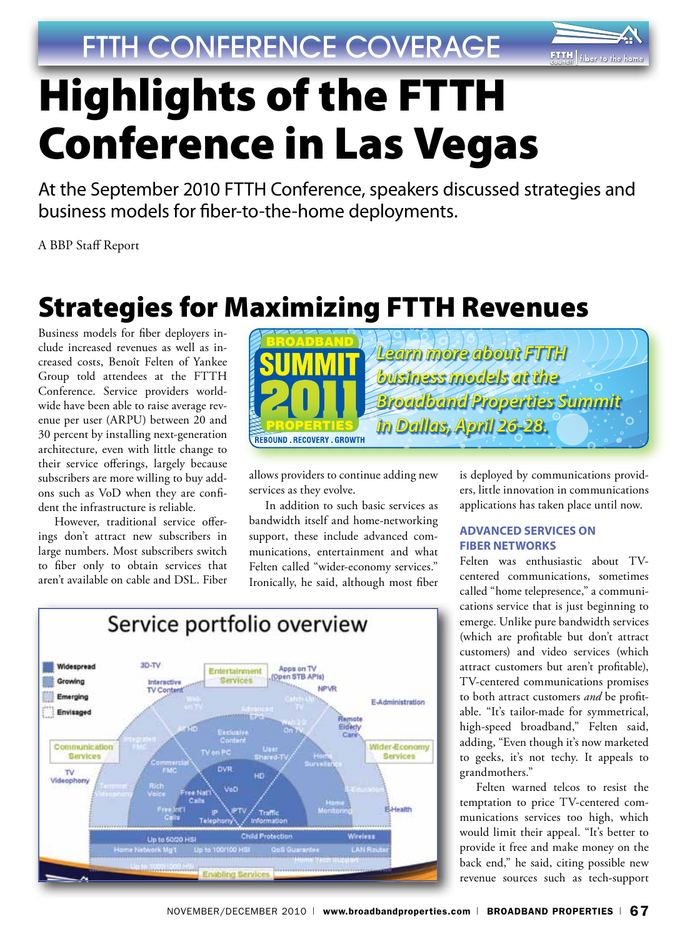

# Highlights of the FTTH Conference in Las Vegas

At the September 2010 FTTH Conference, speakers discussed strategies and business models for fiber-to-the-home deployments.

A BBP Staff Report

# Strategies for Maximizing FTTH Revenues

Business models for fiber deployers include increased revenues as well as increased costs, Benoît Felten of Yankee Group told attendees at the FTTH Conference. Service providers worldwide have been able to raise average revenue per user (ARPU) between 20 and 30 percent by installing next-generation architecture, even with little change to their service offerings, largely because subscribers are more willing to buy addons such as VoD when they are confident the infrastructure is reliable.

However, traditional service offerings don't attract new subscribers in large numbers. Most subscribers switch to fiber only to obtain services that aren't available on cable and DSL. Fiber



allows providers to continue adding new services as they evolve.

In addition to such basic services as bandwidth itself and home-networking support, these include advanced communications, entertainment and what Felten called "wider-economy services." Ironically, he said, although most fiber



is deployed by communications providers, little innovation in communications applications has taken place until now.

#### **Advanced Services on Fiber Networks**

Felten was enthusiastic about TVcentered communications, sometimes called "home telepresence," a communications service that is just beginning to emerge. Unlike pure bandwidth services (which are profitable but don't attract customers) and video services (which attract customers but aren't profitable), TV-centered communications promises to both attract customers *and* be profitable. "It's tailor-made for symmetrical, high-speed broadband," Felten said, adding, "Even though it's now marketed to geeks, it's not techy. It appeals to grandmothers."

Felten warned telcos to resist the temptation to price TV-centered communications services too high, which would limit their appeal. "It's better to provide it free and make money on the back end," he said, citing possible new revenue sources such as tech-support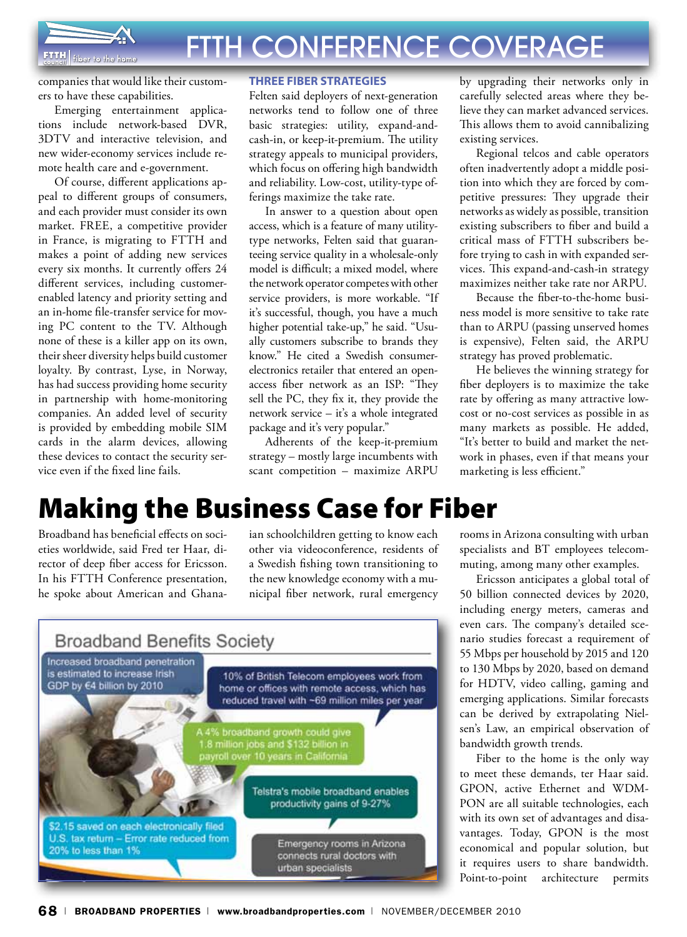

companies that would like their customers to have these capabilities.

Emerging entertainment applications include network-based DVR, 3DTV and interactive television, and new wider-economy services include remote health care and e-government.

Of course, different applications appeal to different groups of consumers, and each provider must consider its own market. FREE, a competitive provider in France, is migrating to FTTH and makes a point of adding new services every six months. It currently offers 24 different services, including customerenabled latency and priority setting and an in-home file-transfer service for moving PC content to the TV. Although none of these is a killer app on its own, their sheer diversity helps build customer loyalty. By contrast, Lyse, in Norway, has had success providing home security in partnership with home-monitoring companies. An added level of security is provided by embedding mobile SIM cards in the alarm devices, allowing these devices to contact the security service even if the fixed line fails.

#### **Three Fiber Strategies**

Felten said deployers of next-generation networks tend to follow one of three basic strategies: utility, expand-andcash-in, or keep-it-premium. The utility strategy appeals to municipal providers, which focus on offering high bandwidth and reliability. Low-cost, utility-type offerings maximize the take rate.

In answer to a question about open access, which is a feature of many utilitytype networks, Felten said that guaranteeing service quality in a wholesale-only model is difficult; a mixed model, where the network operator competes with other service providers, is more workable. "If it's successful, though, you have a much higher potential take-up," he said. "Usually customers subscribe to brands they know." He cited a Swedish consumerelectronics retailer that entered an openaccess fiber network as an ISP: "They sell the PC, they fix it, they provide the network service – it's a whole integrated package and it's very popular."

Adherents of the keep-it-premium strategy – mostly large incumbents with scant competition – maximize ARPU

by upgrading their networks only in carefully selected areas where they believe they can market advanced services. This allows them to avoid cannibalizing existing services.

Regional telcos and cable operators often inadvertently adopt a middle position into which they are forced by competitive pressures: They upgrade their networks as widely as possible, transition existing subscribers to fiber and build a critical mass of FTTH subscribers before trying to cash in with expanded services. This expand-and-cash-in strategy maximizes neither take rate nor ARPU.

Because the fiber-to-the-home business model is more sensitive to take rate than to ARPU (passing unserved homes is expensive), Felten said, the ARPU strategy has proved problematic.

He believes the winning strategy for fiber deployers is to maximize the take rate by offering as many attractive lowcost or no-cost services as possible in as many markets as possible. He added, "It's better to build and market the network in phases, even if that means your marketing is less efficient."

## Making the Business Case for Fiber

Broadband has beneficial effects on societies worldwide, said Fred ter Haar, director of deep fiber access for Ericsson. In his FTTH Conference presentation, he spoke about American and Ghanaian schoolchildren getting to know each other via videoconference, residents of a Swedish fishing town transitioning to the new knowledge economy with a municipal fiber network, rural emergency



rooms in Arizona consulting with urban specialists and BT employees telecommuting, among many other examples.

Ericsson anticipates a global total of 50 billion connected devices by 2020, including energy meters, cameras and even cars. The company's detailed scenario studies forecast a requirement of 55 Mbps per household by 2015 and 120 to 130 Mbps by 2020, based on demand for HDTV, video calling, gaming and emerging applications. Similar forecasts can be derived by extrapolating Nielsen's Law, an empirical observation of bandwidth growth trends.

Fiber to the home is the only way to meet these demands, ter Haar said. GPON, active Ethernet and WDM-PON are all suitable technologies, each with its own set of advantages and disavantages. Today, GPON is the most economical and popular solution, but it requires users to share bandwidth. Point-to-point architecture permits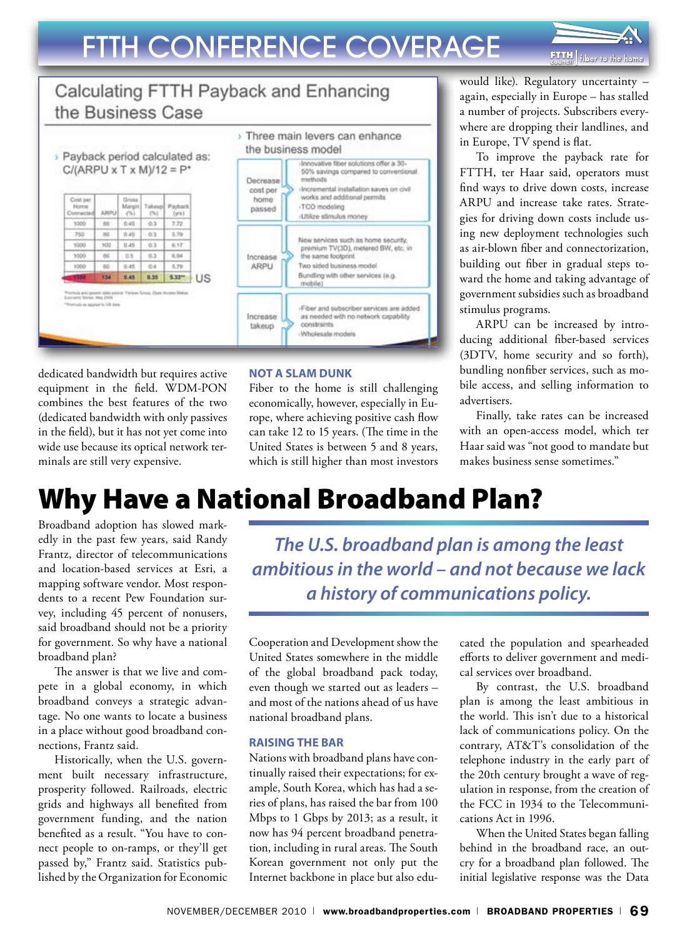

#### Calculating FTTH Payback and Enhancing the Business Case



dedicated bandwidth but requires active equipment in the field. WDM-PON combines the best features of the two (dedicated bandwidth with only passives in the field), but it has not yet come into wide use because its optical network terminals are still very expensive.

#### **Not a Slam Dunk**

Fiber to the home is still challenging economically, however, especially in Europe, where achieving positive cash flow can take 12 to 15 years. (The time in the United States is between 5 and 8 years, which is still higher than most investors

would like). Regulatory uncertainty – again, especially in Europe – has stalled a number of projects. Subscribers everywhere are dropping their landlines, and in Europe, TV spend is flat.

To improve the payback rate for FTTH, ter Haar said, operators must find ways to drive down costs, increase ARPU and increase take rates. Strategies for driving down costs include using new deployment technologies such as air-blown fiber and connectorization, building out fiber in gradual steps toward the home and taking advantage of government subsidies such as broadband stimulus programs.

ARPU can be increased by introducing additional fiber-based services (3DTV, home security and so forth), bundling nonfiber services, such as mobile access, and selling information to advertisers.

Finally, take rates can be increased with an open-access model, which ter Haar said was "not good to mandate but makes business sense sometimes."

## Why Have a National Broadband Plan?

Broadband adoption has slowed markedly in the past few years, said Randy Frantz, director of telecommunications and location-based services at Esri, a mapping software vendor. Most respondents to a recent Pew Foundation survey, including 45 percent of nonusers, said broadband should not be a priority for government. So why have a national broadband plan?

The answer is that we live and compete in a global economy, in which broadband conveys a strategic advantage. No one wants to locate a business in a place without good broadband connections, Frantz said.

Historically, when the U.S. government built necessary infrastructure, prosperity followed. Railroads, electric grids and highways all benefited from government funding, and the nation benefited as a result. "You have to connect people to on-ramps, or they'll get passed by," Frantz said. Statistics published by the Organization for Economic

*The U.S. broadband plan is among the least ambitious in the world – and not because we lack a history of communications policy.* 

Cooperation and Development show the United States somewhere in the middle of the global broadband pack today, even though we started out as leaders – and most of the nations ahead of us have national broadband plans.

#### **Raising the Bar**

Nations with broadband plans have continually raised their expectations; for example, South Korea, which has had a series of plans, has raised the bar from 100 Mbps to 1 Gbps by 2013; as a result, it now has 94 percent broadband penetration, including in rural areas. The South Korean government not only put the Internet backbone in place but also educated the population and spearheaded efforts to deliver government and medical services over broadband.

By contrast, the U.S. broadband plan is among the least ambitious in the world. This isn't due to a historical lack of communications policy. On the contrary, AT&T's consolidation of the telephone industry in the early part of the 20th century brought a wave of regulation in response, from the creation of the FCC in 1934 to the Telecommunications Act in 1996.

When the United States began falling behind in the broadband race, an outcry for a broadband plan followed. The initial legislative response was the Data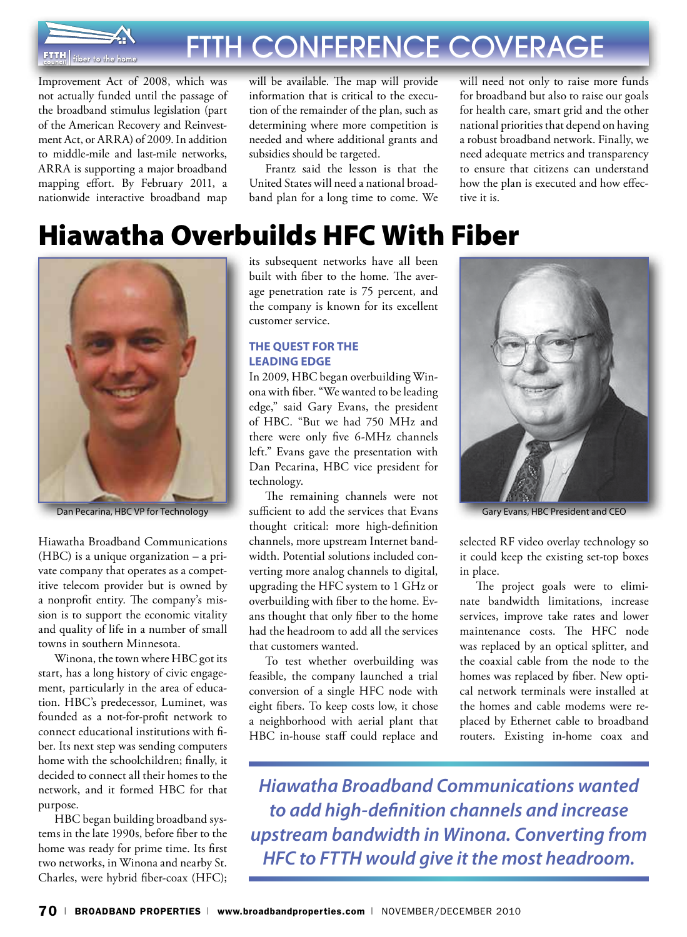

Improvement Act of 2008, which was not actually funded until the passage of the broadband stimulus legislation (part of the American Recovery and Reinvestment Act, or ARRA) of 2009. In addition to middle-mile and last-mile networks, ARRA is supporting a major broadband mapping effort. By February 2011, a nationwide interactive broadband map

will be available. The map will provide information that is critical to the execution of the remainder of the plan, such as determining where more competition is needed and where additional grants and subsidies should be targeted.

Frantz said the lesson is that the United States will need a national broadband plan for a long time to come. We will need not only to raise more funds for broadband but also to raise our goals for health care, smart grid and the other national priorities that depend on having a robust broadband network. Finally, we need adequate metrics and transparency to ensure that citizens can understand how the plan is executed and how effective it is.

# Hiawatha Overbuilds HFC With Fiber



Dan Pecarina, HBC VP for Technology

Hiawatha Broadband Communications (HBC) is a unique organization – a private company that operates as a competitive telecom provider but is owned by a nonprofit entity. The company's mission is to support the economic vitality and quality of life in a number of small towns in southern Minnesota.

Winona, the town where HBC got its start, has a long history of civic engagement, particularly in the area of education. HBC's predecessor, Luminet, was founded as a not-for-profit network to connect educational institutions with fiber. Its next step was sending computers home with the schoolchildren; finally, it decided to connect all their homes to the network, and it formed HBC for that purpose.

HBC began building broadband systems in the late 1990s, before fiber to the home was ready for prime time. Its first two networks, in Winona and nearby St. Charles, were hybrid fiber-coax (HFC);

its subsequent networks have all been built with fiber to the home. The average penetration rate is 75 percent, and the company is known for its excellent customer service.

#### **The Quest for the Leading Edge**

In 2009, HBC began overbuilding Winona with fiber. "We wanted to be leading edge," said Gary Evans, the president of HBC. "But we had 750 MHz and there were only five 6-MHz channels left." Evans gave the presentation with Dan Pecarina, HBC vice president for technology.

The remaining channels were not sufficient to add the services that Evans thought critical: more high-definition channels, more upstream Internet bandwidth. Potential solutions included converting more analog channels to digital, upgrading the HFC system to 1 GHz or overbuilding with fiber to the home. Evans thought that only fiber to the home had the headroom to add all the services that customers wanted.

To test whether overbuilding was feasible, the company launched a trial conversion of a single HFC node with eight fibers. To keep costs low, it chose a neighborhood with aerial plant that HBC in-house staff could replace and



Gary Evans, HBC President and CEO

selected RF video overlay technology so it could keep the existing set-top boxes in place.

The project goals were to eliminate bandwidth limitations, increase services, improve take rates and lower maintenance costs. The HFC node was replaced by an optical splitter, and the coaxial cable from the node to the homes was replaced by fiber. New optical network terminals were installed at the homes and cable modems were replaced by Ethernet cable to broadband routers. Existing in-home coax and

*Hiawatha Broadband Communications wanted to add high-definition channels and increase upstream bandwidth in Winona. Converting from HFC to FTTH would give it the most headroom.*